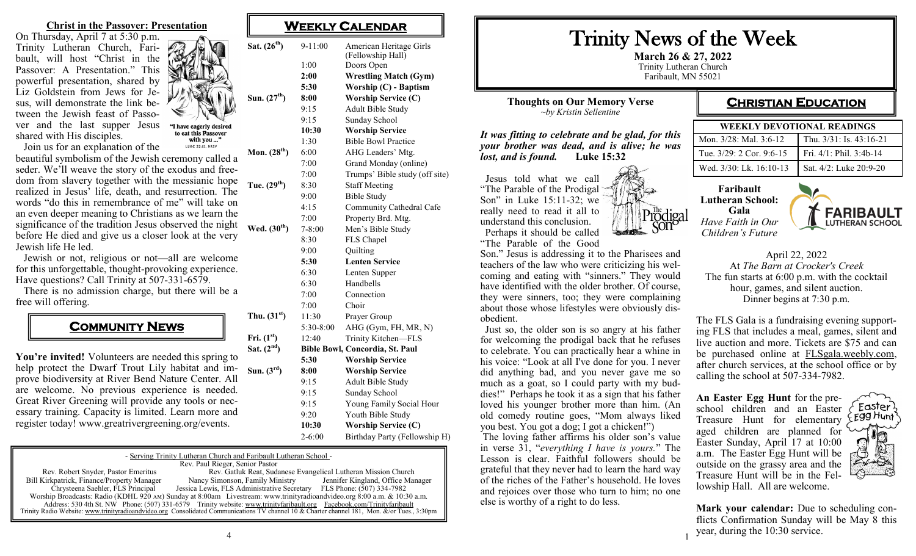**Christ in the Passover: Presentation**

On Thursday, April 7 at 5:30 p.m. Trinity Lutheran Church, Faribault, will host "Christ in the Passover: A Presentation." This powerful presentation, shared by Liz Goldstein from Jews for Jesus, will demonstrate the link between the Jewish feast of Passover and the last supper Jesus shared with His disciples.

Join us for an explanation of the

beautiful symbolism of the Jewish ceremony called a seder. We'll weave the story of the exodus and freedom from slavery together with the messianic hope realized in Jesus' life, death, and resurrection. The words "do this in remembrance of me" will take on an even deeper meaning to Christians as we learn the significance of the tradition Jesus observed the night before He died and give us a closer look at the very Jewish life He led. **Mon.**  $(28<sup>th</sup>)$  $Tue. (29<sup>th</sup>)$  $Wed. (30<sup>th</sup>)$ 

 Jewish or not, religious or not—all are welcome for this unforgettable, thought-provoking experience. Have questions? Call Trinity at 507-331-6579.

 There is no admission charge, but there will be a free will offering.

## **COMMUNITY NEWS**

You're invited! Volunteers are needed this spring to help protect the Dwarf Trout Lily habitat and improve biodiversity at River Bend Nature Center. All are welcome. No previous experience is needed. Great River Greening will provide any tools or necessary training. Capacity is limited. Learn more and register today! www.greatrivergreening.org/events.  $Sat. (2<sup>nd</sup>)$  $Sum. (3<sup>rd</sup>)$ 

#### **WEEKLY CALENDAR**

 $Sat. (26<sup>th</sup>)$ 

 $Sun. (27<sup>th</sup>)$ 

"I have eagerly desired to eat this Passover with you ..." LUKE 22:15, NRSV

**Thu.**  $(31^{st})$ 

 $\text{Fri.} (1^{\text{st}})$ 

|  | $9-11:00$  | American Heritage Girls<br>(Fellowship Hall) |  |  |
|--|------------|----------------------------------------------|--|--|
|  | 1:00       | Doors Open                                   |  |  |
|  | 2:00       | <b>Wrestling Match (Gym)</b>                 |  |  |
|  | 5:30       | Worship (C) - Baptism                        |  |  |
|  | 8:00       | <b>Worship Service (C)</b>                   |  |  |
|  | 9:15       | Adult Bible Study                            |  |  |
|  | 9:15       | Sunday School                                |  |  |
|  | 10:30      | <b>Worship Service</b>                       |  |  |
|  | 1:30       | <b>Bible Bowl Practice</b>                   |  |  |
|  | 6:00       | AHG Leaders' Mtg.                            |  |  |
|  | 7:00       | Grand Monday (online)                        |  |  |
|  | 7:00       | Trumps' Bible study (off site)               |  |  |
|  | 8:30       | <b>Staff Meeting</b>                         |  |  |
|  | 9:00       | <b>Bible Study</b>                           |  |  |
|  | 4:15       | Community Cathedral Cafe                     |  |  |
|  | 7:00       | Property Brd. Mtg.                           |  |  |
|  | $7 - 8:00$ | Men's Bible Study                            |  |  |
|  | 8:30       | FLS Chapel                                   |  |  |
|  | 9:00       | Quilting                                     |  |  |
|  | 5:30       | <b>Lenten Service</b>                        |  |  |
|  | 6:30       | Lenten Supper                                |  |  |
|  | 6:30       | Handbells                                    |  |  |
|  | 7:00       | Connection                                   |  |  |
|  | 7:00       | Choir                                        |  |  |
|  | 11:30      | Prayer Group                                 |  |  |
|  | 5:30-8:00  | AHG (Gym, FH, MR, N)                         |  |  |
|  | 12:40      | Trinity Kitchen-FLS                          |  |  |
|  |            | Bible Bowl, Concordia, St. Paul              |  |  |
|  | 5:30       | <b>Worship Service</b>                       |  |  |
|  | 8:00       | <b>Worship Service</b>                       |  |  |
|  | 9:15       | Adult Bible Study                            |  |  |
|  | 9:15       | Sunday School                                |  |  |
|  | 9:15       | Young Family Social Hour                     |  |  |
|  | 9:20       | Youth Bible Study                            |  |  |
|  | 10:30      | <b>Worship Service (C)</b>                   |  |  |
|  | $2 - 6:00$ | Birthday Party (Fellowship H)                |  |  |
|  |            | ╗.                                           |  |  |

| - Serving Trinity Lutheran Church and Faribault Lutheran School -                                                                            |                                                                                                                          |                                   |  |  |  |
|----------------------------------------------------------------------------------------------------------------------------------------------|--------------------------------------------------------------------------------------------------------------------------|-----------------------------------|--|--|--|
| Rev. Paul Rieger, Senior Pastor                                                                                                              |                                                                                                                          |                                   |  |  |  |
| Rev. Robert Snyder, Pastor Emeritus                                                                                                          | Rev. Gatluk Reat, Sudanese Evangelical Lutheran Mission Church                                                           |                                   |  |  |  |
| Bill Kirkpatrick, Finance/Property Manager                                                                                                   | Nancy Simonson, Family Ministry                                                                                          | Jennifer Kingland, Office Manager |  |  |  |
| Chrysteena Saehler, FLS Principal                                                                                                            | Jessica Lewis, FLS Administrative Secretary FLS Phone: (507) 334-7982                                                    |                                   |  |  |  |
|                                                                                                                                              | Worship Broadcasts: Radio (KDHL 920 AM) Sunday at 8:00am Livestream: www.trinityradioandvideo.org 8:00 a.m. & 10:30 a.m. |                                   |  |  |  |
|                                                                                                                                              | Address: 530 4th St. NW Phone: (507) 331-6579 Trinity website: www.trinityfaribault.org Facebook.com/Trinityfaribault    |                                   |  |  |  |
| Trinity Radio Website: www.trinityradioandvideo.org Consolidated Communications TV channel 10 & Charter channel 181, Mon. &/or Tues., 3:30pm |                                                                                                                          |                                   |  |  |  |

4

# Trinity News of the Week

rödiga

**March 26 & 27, 2022** Trinity Lutheran Church Faribault, MN 55021

1

**Thoughts on Our Memory Verse** *~by Kristin Sellentine*

*It was fitting to celebrate and be glad, for this your brother was dead, and is alive; he was lost, and is found.* **Luke 15:32**

 Jesus told what we call "The Parable of the Prodigal Son" in Luke 15:11-32; we really need to read it all to understand this conclusion. Perhaps it should be called "The Parable of the Good

Son." Jesus is addressing it to the Pharisees and teachers of the law who were criticizing his welcoming and eating with "sinners." They would have identified with the older brother. Of course, they were sinners, too; they were complaining about those whose lifestyles were obviously disobedient.

 Just so, the older son is so angry at his father for welcoming the prodigal back that he refuses to celebrate. You can practically hear a whine in his voice: "Look at all I've done for you. I never did anything bad, and you never gave me so much as a goat, so I could party with my buddies!" Perhaps he took it as a sign that his father loved his younger brother more than him. (An old comedy routine goes, "Mom always liked you best. You got a dog; I got a chicken!")

The loving father affirms his older son's value in verse 31, "*everything I have is yours.*" The Lesson is clear. Faithful followers should be grateful that they never had to learn the hard way of the riches of the Father's household. He loves and rejoices over those who turn to him; no one else is worthy of a right to do less.

### **CHRISTIAN EDUCATION**

| WEEKLY DEVOTIONAL READINGS |                         |  |  |
|----------------------------|-------------------------|--|--|
| Mon. 3/28: Mal. 3:6-12     | Thu. 3/31: Is. 43:16-21 |  |  |
| Tue. 3/29: 2 Cor. 9:6-15   | Fri. 4/1: Phil. 3:4b-14 |  |  |
| Wed. 3/30: Lk. 16:10-13    | Sat. 4/2: Luke 20:9-20  |  |  |





April 22, 2022 At *The Barn at Crocker's Creek* The fun starts at 6:00 p.m. with the cocktail hour, games, and silent auction. Dinner begins at 7:30 p.m.

The FLS Gala is a fundraising evening supporting FLS that includes a meal, games, silent and live auction and more. Tickets are \$75 and can be purchased online at [FLSgala.weebly.com,](http://FLSgala.weebly.com)  after church services, at the school office or by calling the school at 507-334-7982.

**An Easter Egg Hunt** for the preschool children and an Easter Treasure Hunt for elementary aged children are planned for Easter Sunday, April 17 at 10:00 a.m. The Easter Egg Hunt will be outside on the grassy area and the Treasure Hunt will be in the Fellowship Hall. All are welcome.



**Mark your calendar:** Due to scheduling conflicts Confirmation Sunday will be May 8 this year, during the 10:30 service.